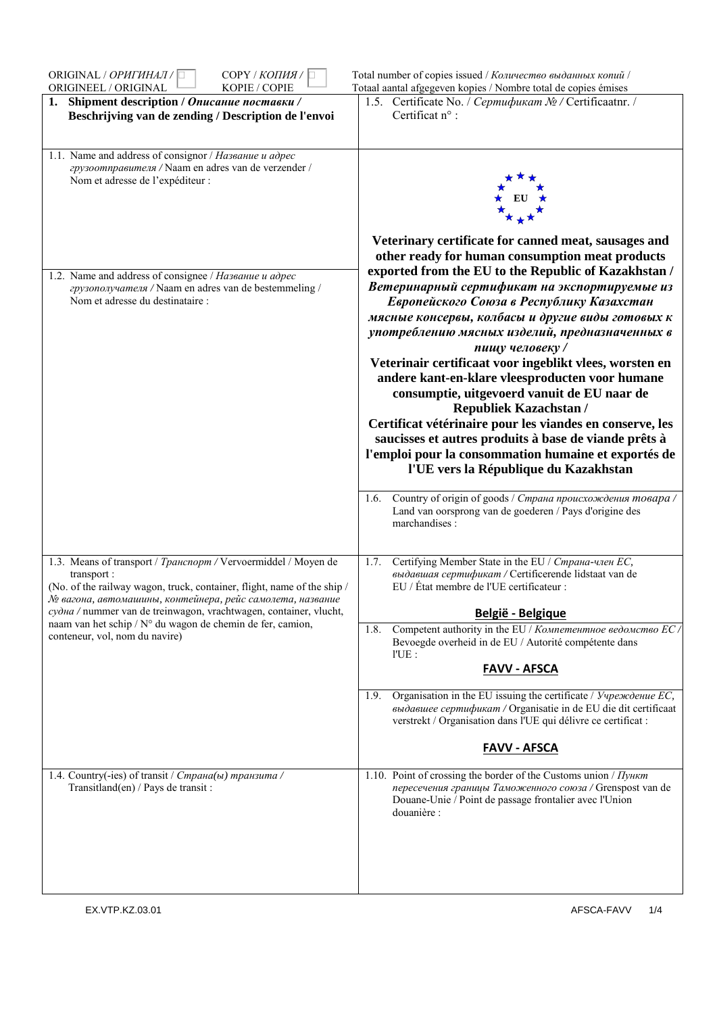| ORIGINAL / OPUITUHAJI / I<br>СОРҮ / КОПИЯ / □<br>ORIGINEEL / ORIGINAL<br>KOPIE / COPIE                                                                                                                                                                                                                                                                                                            | Total number of copies issued / Количество выданных копий /<br>Totaal aantal afgegeven kopies / Nombre total de copies émises                                                                                                                                                                                                                                                                                                                                                                                                                                                                                                                                                                                                                                                                                                                                                                                                                                |
|---------------------------------------------------------------------------------------------------------------------------------------------------------------------------------------------------------------------------------------------------------------------------------------------------------------------------------------------------------------------------------------------------|--------------------------------------------------------------------------------------------------------------------------------------------------------------------------------------------------------------------------------------------------------------------------------------------------------------------------------------------------------------------------------------------------------------------------------------------------------------------------------------------------------------------------------------------------------------------------------------------------------------------------------------------------------------------------------------------------------------------------------------------------------------------------------------------------------------------------------------------------------------------------------------------------------------------------------------------------------------|
| 1. Shipment description / Описание поставки /<br>Beschrijving van de zending / Description de l'envoi                                                                                                                                                                                                                                                                                             | 1.5. Certificate No. / Сертификат № / Certificaatnr. /<br>Certificat n° :                                                                                                                                                                                                                                                                                                                                                                                                                                                                                                                                                                                                                                                                                                                                                                                                                                                                                    |
| 1.1. Name and address of consignor / Название и адрес<br>грузоотправителя / Naam en adres van de verzender /<br>Nom et adresse de l'expéditeur :                                                                                                                                                                                                                                                  |                                                                                                                                                                                                                                                                                                                                                                                                                                                                                                                                                                                                                                                                                                                                                                                                                                                                                                                                                              |
| 1.2. Name and address of consignee / Название и адрес<br>грузополучателя / Naam en adres van de bestemmeling /<br>Nom et adresse du destinataire :                                                                                                                                                                                                                                                | Veterinary certificate for canned meat, sausages and<br>other ready for human consumption meat products<br>exported from the EU to the Republic of Kazakhstan /<br>Ветеринарный сертификат на экспортируемые из<br>Европейского Союза в Республику Казахстан<br>мясные консервы, колбасы и другие виды готовых к<br>употреблению мясных изделий, предназначенных в<br>пишу человеку /<br>Veterinair certificaat voor ingeblikt vlees, worsten en<br>andere kant-en-klare vleesproducten voor humane<br>consumptie, uitgevoerd vanuit de EU naar de<br><b>Republiek Kazachstan /</b><br>Certificat vétérinaire pour les viandes en conserve, les<br>saucisses et autres produits à base de viande prêts à<br>l'emploi pour la consommation humaine et exportés de<br>l'UE vers la République du Kazakhstan<br>Country of origin of goods / Страна происхождения товара /<br>1.6.<br>Land van oorsprong van de goederen / Pays d'origine des<br>marchandises : |
| 1.3. Means of transport / Транспорт / Vervoermiddel / Moyen de<br>transport :<br>(No. of the railway wagon, truck, container, flight, name of the ship /<br>№ вагона, автомашины, контейнера, рейс самолета, название<br><i>судна</i> / nummer van de treinwagon, vrachtwagen, container, vlucht,<br>naam van het schip / N° du wagon de chemin de fer, camion,<br>conteneur, vol, nom du navire) | Certifying Member State in the EU / Страна-член ЕС,<br>1.7.<br>выдавшая сертификат / Certificerende lidstaat van de<br>EU / État membre de l'UE certificateur :<br>België - Belgique<br>Competent authority in the EU / Компетентное ведомство EC /<br>1.8.<br>Bevoegde overheid in de EU / Autorité compétente dans<br>I'UE:<br><b>FAVV - AFSCA</b><br>Organisation in the EU issuing the certificate / Учреждение ЕС,<br>1.9.<br>выдавшее сертификат / Organisatie in de EU die dit certificaat<br>verstrekt / Organisation dans l'UE qui délivre ce certificat :<br><b>FAVV - AFSCA</b>                                                                                                                                                                                                                                                                                                                                                                   |
| 1.4. Country(-ies) of transit / Страна(ы) транзита /<br>Transitland(en) / Pays de transit :                                                                                                                                                                                                                                                                                                       | 1.10. Point of crossing the border of the Customs union / $\eta$ yHKm<br>пересечения границы Таможенного союза / Grenspost van de<br>Douane-Unie / Point de passage frontalier avec l'Union<br>douanière :                                                                                                                                                                                                                                                                                                                                                                                                                                                                                                                                                                                                                                                                                                                                                   |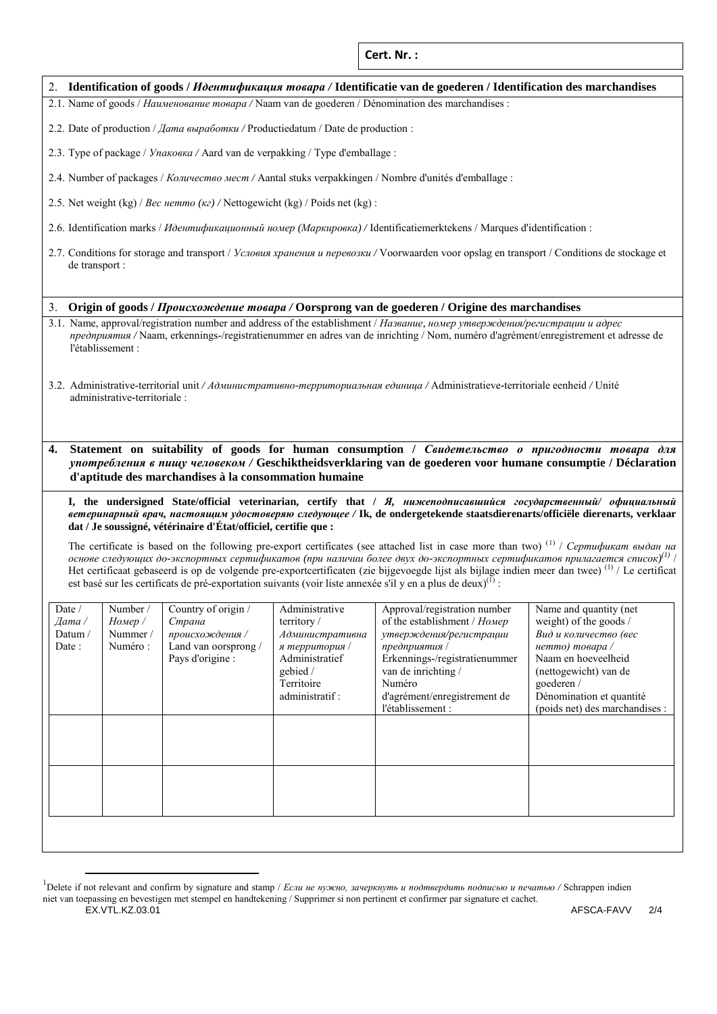**Cert. Nr. :**

|  |  |  |  | 2. Identification of goods / Идентификация товара / Identificatie van de goederen / Identification des marchandises |
|--|--|--|--|---------------------------------------------------------------------------------------------------------------------|
|--|--|--|--|---------------------------------------------------------------------------------------------------------------------|

2.1. Name of goods / *Наименование товара /* Naam van de goederen / Dénomination des marchandises :

2.2. Date of production / *Дата выработки /* Productiedatum / Date de production :

2.3. Type of package / *Упаковка /* Aard van de verpakking / Type d'emballage :

2.4. Number of packages / *Количество мест /* Aantal stuks verpakkingen / Nombre d'unités d'emballage :

2.5. Net weight (kg) / *Вес нетто (кг) /* Nettogewicht (kg) / Poids net (kg) :

- 2.6. Identification marks / *Идентификационный номер (Маркировка) /* Identificatiemerktekens / Marques d'identification :
- 2.7. Conditions for storage and transport / *Условия хранения и перевозки /* Voorwaarden voor opslag en transport / Conditions de stockage et de transport :

## 3. **Origin of goods /** *Происхождение товара /* **Oorsprong van de goederen / Origine des marchandises**

3.1. Name, approval/registration number and address of the establishment / *Название, номер утверждения/регистрации и адрес предприятия /* Naam, erkennings-/registratienummer en adres van de inrichting / Nom, numéro d'agrément/enregistrement et adresse de l'établissement :

3.2. Administrative-territorial unit */ Административно-территориальная единица /* Administratieve**-**territoriale eenheid */* Unité administrative**-**territoriale :

**4. Statement on suitability of goods for human consumption /** *Свидетельство о пригодности товара для употребления в пищу человеком /* **Geschiktheidsverklaring van de goederen voor humane consumptie / Déclaration d'aptitude des marchandises à la consommation humaine**

**I, the undersigned State/official veterinarian, certify that /** *Я, нижеподписавшийся государственный/ официальный ветеринарный врач, настоящим удостоверяю следующее /* **Ik, de ondergetekende staatsdierenarts/officiële dierenarts, verklaar dat / Je soussigné, vétérinaire d'État/officiel, certifie que :** 

The certificate is based on the following pre-export certificates (see attached list in case more than two) (1) / *Сертификат выдан на* основе следующих до-экспортных сертификатов (при наличии более двух до-экспортных сертификатов прилагается список)<sup>(1)</sup> | Het certificaat gebaseerd is op de volgende pre-exportcertificaten (zie bijgevoegde lijst als bijlage indien meer dan twee) (1) / Le certificat est basé sur les certificats de pré-exportation suivants (voir liste annexée s'il y en a plus de deux)<sup>(1)</sup> :

| Date /<br>$\Delta$ ama | Number /<br>Номер / | Country of origin /<br>Страна                              | Administrative<br>territory $/$                     | Approval/registration number<br>of the establishment / Номер              | Name and quantity (net<br>weight) of the goods /                |
|------------------------|---------------------|------------------------------------------------------------|-----------------------------------------------------|---------------------------------------------------------------------------|-----------------------------------------------------------------|
| Datum/<br>Date:        | Nummer /<br>Numéro: | происхождения /<br>Land van oorsprong/<br>Pays d'origine : | Административна<br>я территория /<br>Administratief | утверждения/регистрации<br>предприятия /<br>Erkennings-/registratienummer | Вид и количество (вес<br>нетто) товара /<br>Naam en hoeveelheid |
|                        |                     |                                                            | gebied /<br>Territoire                              | van de inrichting /<br>Numéro                                             | (nettogewicht) van de<br>goederen /                             |
|                        |                     |                                                            | administratif:                                      | d'agrément/enregistrement de<br>l'établissement :                         | Dénomination et quantité<br>(poids net) des marchandises :      |
|                        |                     |                                                            |                                                     |                                                                           |                                                                 |
|                        |                     |                                                            |                                                     |                                                                           |                                                                 |
|                        |                     |                                                            |                                                     |                                                                           |                                                                 |
|                        |                     |                                                            |                                                     |                                                                           |                                                                 |
|                        |                     |                                                            |                                                     |                                                                           |                                                                 |

EX.VTL.KZ.03.01 AFSCA-FAVV 2/4 <sup>1</sup> Delete if not relevant and confirm by signature and stamp / *Если не нужно, зачеркнуть и подтвердить подписью и печатью /* Schrappen indien niet van toepassing en bevestigen met stempel en handtekening / Supprimer si non pertinent et confirmer par signature et cachet.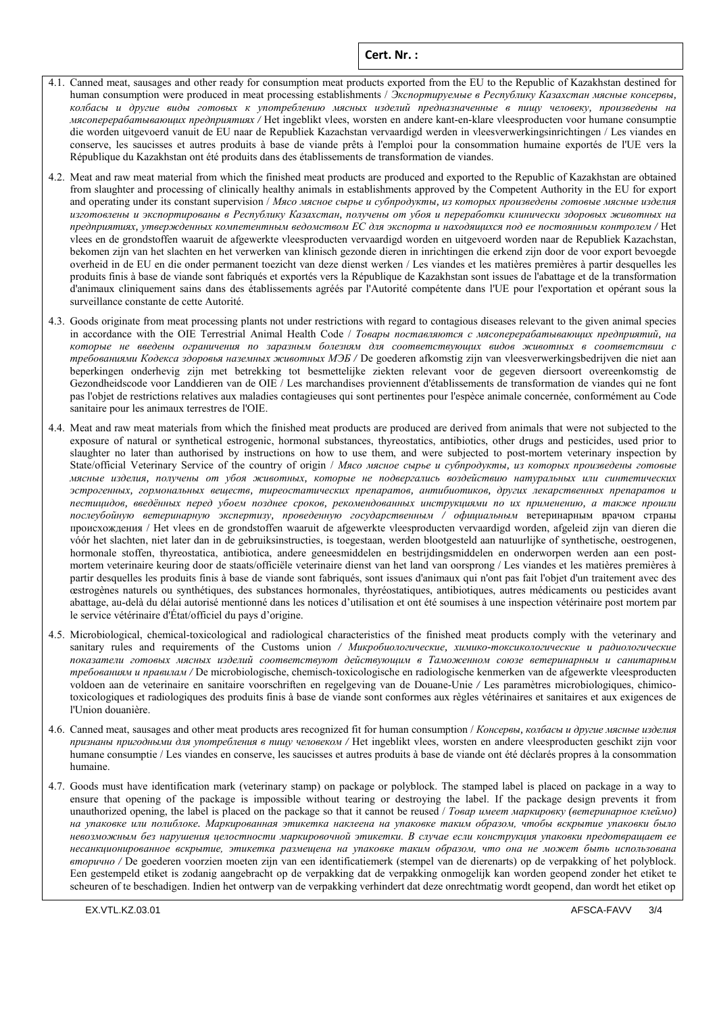- 4.1. Canned meat, sausages and other ready for consumption meat products exported from the EU to the Republic of Kazakhstan destined for human consumption were produced in meat processing establishments / *Экспортируемые в Республику Казахстан мясные консервы, колбасы и другие виды готовых к употреблению мясных изделий предназначенные в пищу человеку, произведены на мясоперерабатывающих предприятиях /* Het ingeblikt vlees, worsten en andere kant-en-klare vleesproducten voor humane consumptie die worden uitgevoerd vanuit de EU naar de Republiek Kazachstan vervaardigd werden in vleesverwerkingsinrichtingen / Les viandes en conserve, les saucisses et autres produits à base de viande prêts à l'emploi pour la consommation humaine exportés de l'UE vers la République du Kazakhstan ont été produits dans des établissements de transformation de viandes.
- 4.2. Meat and raw meat material from which the finished meat products are produced and exported to the Republic of Kazakhstan are obtained from slaughter and processing of clinically healthy animals in establishments approved by the Competent Authority in the EU for export and operating under its constant supervision / *Мясо мясное сырье и субпродукты, из которых произведены готовые мясные изделия* изготовлены и экспортированы в Республику Казахстан, получены от убоя и переработки клинически здоровых животных на *предприятиях, утвержденных компетентным ведомством ЕС для экспорта и находящихся под ее постоянным контролем /* Het vlees en de grondstoffen waaruit de afgewerkte vleesproducten vervaardigd worden en uitgevoerd worden naar de Republiek Kazachstan, bekomen zijn van het slachten en het verwerken van klinisch gezonde dieren in inrichtingen die erkend zijn door de voor export bevoegde overheid in de EU en die onder permanent toezicht van deze dienst werken / Les viandes et les matières premières à partir desquelles les produits finis à base de viande sont fabriqués et exportés vers la République de Kazakhstan sont issues de l'abattage et de la transformation d'animaux cliniquement sains dans des établissements agréés par l'Autorité compétente dans l'UE pour l'exportation et opérant sous la surveillance constante de cette Autorité.
- 4.3. Goods originate from meat processing plants not under restrictions with regard to contagious diseases relevant to the given animal species in accordance with the OIE Terrestrial Animal Health Code / *Товары поставляются с мясоперерабатывающих предприятий, на которые не введены ограничения по заразным болезням для соответствующих видов животных в соответствии с требованиями Кодекса здоровья наземных животных МЭБ /* De goederen afkomstig zijn van vleesverwerkingsbedrijven die niet aan beperkingen onderhevig zijn met betrekking tot besmettelijke ziekten relevant voor de gegeven diersoort overeenkomstig de Gezondheidscode voor Landdieren van de OIE / Les marchandises proviennent d'établissements de transformation de viandes qui ne font pas l'objet de restrictions relatives aux maladies contagieuses qui sont pertinentes pour l'espèce animale concernée, conformément au Code sanitaire pour les animaux terrestres de l'OIE.
- 4.4. Meat and raw meat materials from which the finished meat products are produced are derived from animals that were not subjected to the exposure of natural or synthetical estrogenic, hormonal substances, thyreostatics, antibiotics, other drugs and pesticides, used prior to slaughter no later than authorised by instructions on how to use them, and were subjected to post-mortem veterinary inspection by State/official Veterinary Service of the country of origin / *Мясо мясное сырье и субпродукты, из которых произведены готовые мясные изделия, получены от убоя животных, которые не подвергались воздействию натуральных или синтетических эстрогенных, гормональных веществ, тиреостатических препаратов, антибиотиков, других лекарственных препаратов и* пестицидов, введённых перед убоем позднее сроков, рекомендованных инструкциями по их применению, а также прошли *послеубойную ветеринарную экспертизу, проведенную государственным / официальным* ветеринарным врачом страны происхождения / Het vlees en de grondstoffen waaruit de afgewerkte vleesproducten vervaardigd worden, afgeleid zijn van dieren die vóór het slachten, niet later dan in de gebruiksinstructies, is toegestaan, werden blootgesteld aan natuurlijke of synthetische, oestrogenen, hormonale stoffen, thyreostatica, antibiotica, andere geneesmiddelen en bestrijdingsmiddelen en onderworpen werden aan een postmortem veterinaire keuring door de staats/officiële veterinaire dienst van het land van oorsprong / Les viandes et les matières premières à partir desquelles les produits finis à base de viande sont fabriqués, sont issues d'animaux qui n'ont pas fait l'objet d'un traitement avec des œstrogènes naturels ou synthétiques, des substances hormonales, thyréostatiques, antibiotiques, autres médicaments ou pesticides avant abattage, au-delà du délai autorisé mentionné dans les notices d'utilisation et ont été soumises à une inspection vétérinaire post mortem par le service vétérinaire d'État/officiel du pays d'origine.
- 4.5. Microbiological, chemical-toxicological and radiological characteristics of the finished meat products comply with the veterinary and sanitary rules and requirements of the Customs union */ Микробиологические, химико-токсикологические и радиологические показатели готовых мясных изделий соответствуют действующим в Таможенном союзе ветеринарным и санитарным требованиям и правилам /* De microbiologische, chemisch-toxicologische en radiologische kenmerken van de afgewerkte vleesproducten voldoen aan de veterinaire en sanitaire voorschriften en regelgeving van de Douane-Unie */* Les paramètres microbiologiques, chimicotoxicologiques et radiologiques des produits finis à base de viande sont conformes aux règles vétérinaires et sanitaires et aux exigences de l'Union douanière.
- 4.6. Canned meat, sausages and other meat products ares recognized fit for human consumption / *Консервы, колбасы и другие мясные изделия признаны пригодными для употребления в пищу человеком /* Het ingeblikt vlees, worsten en andere vleesproducten geschikt zijn voor humane consumptie / Les viandes en conserve, les saucisses et autres produits à base de viande ont été déclarés propres à la consommation humaine.
- 4.7. Goods must have identification mark (veterinary stamp) on package or polyblock. The stamped label is placed on package in a way to ensure that opening of the package is impossible without tearing or destroying the label. If the package design prevents it from unauthorized opening, the label is placed on the package so that it cannot be reused / *Товар имеет маркировку (ветеринарное клеймо) на упаковке или полиблоке. Маркированная этикетка наклеена на упаковке таким образом, чтобы вскрытие упаковки было невозможным без нарушения целостности маркировочной этикетки. В случае если конструкция упаковки предотвращает ее несанкционированное вскрытие, этикетка размещена на упаковке таким образом, что она не может быть использована вторично /* De goederen voorzien moeten zijn van een identificatiemerk (stempel van de dierenarts) op de verpakking of het polyblock. Een gestempeld etiket is zodanig aangebracht op de verpakking dat de verpakking onmogelijk kan worden geopend zonder het etiket te scheuren of te beschadigen. Indien het ontwerp van de verpakking verhindert dat deze onrechtmatig wordt geopend, dan wordt het etiket op